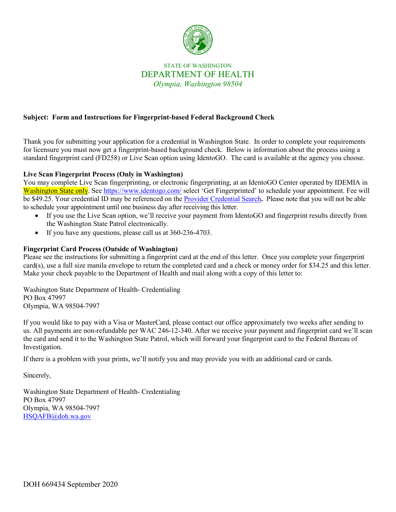

# STATE OF WASHINGTON DEPARTMENT OF HEALTH *Olympia, Washington 98504*

# **Subject: Form and Instructions for Fingerprint-based Federal Background Check**

Thank you for submitting your application for a credential in Washington State. In order to complete your requirements for licensure you must now get a fingerprint-based background check. Below is information about the process using a standard fingerprint card (FD258) or Live Scan option using IdentoGO. The card is available at the agency you choose.

## **Live Scan Fingerprint Process (Only in Washington)**

You may complete Live Scan fingerprinting, or electronic fingerprinting, at an IdentoGO Center operated by IDEMIA in Washington State only. See<https://www.identogo.com/> select 'Get Fingerprinted' to schedule your appointment. Fee will be \$49.25. Your credential ID may be referenced on the [Provider Credential Search](https://fortress.wa.gov/doh/providercredentialsearch/)**.** Please note that you will not be able to schedule your appointment until one business day after receiving this letter.

- If you use the Live Scan option, we'll receive your payment from IdentoGO and fingerprint results directly from the Washington State Patrol electronically.
- If you have any questions, please call us at 360-236-4703.

## **Fingerprint Card Process (Outside of Washington)**

Please see the instructions for submitting a fingerprint card at the end of this letter. Once you complete your fingerprint card(s), use a full size manila envelope to return the completed card and a check or money order for \$34.25 and this letter. Make your check payable to the Department of Health and mail along with a copy of this letter to:

Washington State Department of Health- Credentialing PO Box 47997 Olympia, WA 98504-7997

If you would like to pay with a Visa or MasterCard, please contact our office approximately two weeks after sending to us. All payments are non-refundable per WAC 246-12-340. After we receive your payment and fingerprint card we'll scan the card and send it to the Washington State Patrol, which will forward your fingerprint card to the Federal Bureau of Investigation.

If there is a problem with your prints, we'll notify you and may provide you with an additional card or cards.

Sincerely,

Washington State Department of Health- Credentialing PO Box 47997 Olympia, WA 98504-7997 [HSQAFB@doh.wa.gov](mailto:HSQAFB@doh.wa.gov)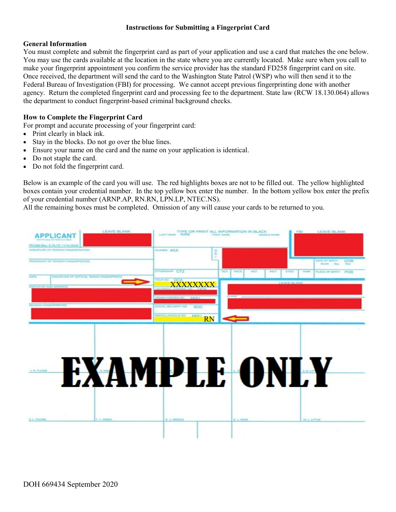#### **Instructions for Submitting a Fingerprint Card**

#### **General Information**

You must complete and submit the fingerprint card as part of your application and use a card that matches the one below. You may use the cards available at the location in the state where you are currently located. Make sure when you call to make your fingerprint appointment you confirm the service provider has the standard FD258 fingerprint card on site. Once received, the department will send the card to the Washington State Patrol (WSP) who will then send it to the Federal Bureau of Investigation (FBI) for processing. We cannot accept previous fingerprinting done with another agency. Return the completed fingerprint card and processing fee to the department. State law (RCW 18.130.064) allows the department to conduct fingerprint-based criminal background checks.

### **How to Complete the Fingerprint Card**

- For prompt and accurate processing of your fingerprint card:
- Print clearly in black ink.
- Stay in the blocks. Do not go over the blue lines.
- Ensure your name on the card and the name on your application is identical.
- Do not staple the card.
- Do not fold the fingerprint card.

Below is an example of the card you will use. The red highlights boxes are not to be filled out. The yellow highlighted boxes contain your credential number. In the top yellow box enter the number. In the bottom yellow box enter the prefix of your credential number (ARNP.AP, RN.RN, LPN.LP, NTEC.NS).

All the remaining boxes must be completed. Omission of any will cause your cards to be returned to you.

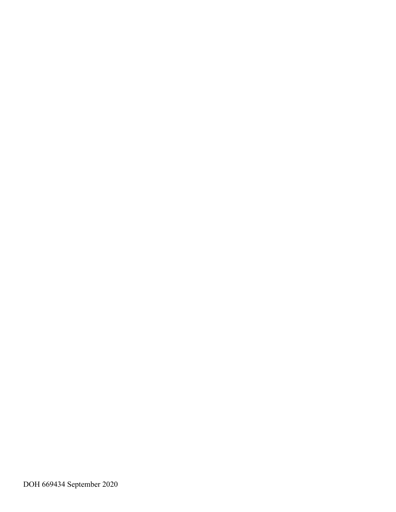DOH 669434 September 2020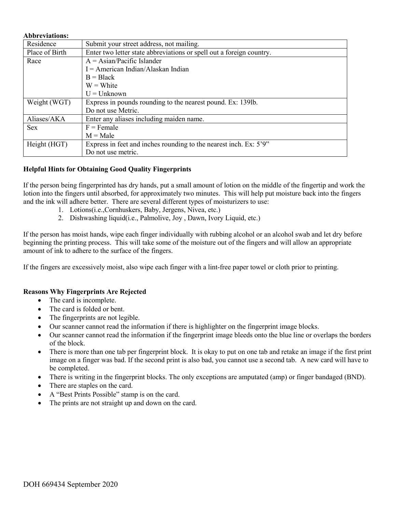| Residence      | Submit your street address, not mailing.                             |
|----------------|----------------------------------------------------------------------|
| Place of Birth | Enter two letter state abbreviations or spell out a foreign country. |
| Race           | $A = Asian/Pacific Islander$                                         |
|                | $I = American Indian/Alaskan Indian$                                 |
|                | $B = Black$                                                          |
|                | $W = White$                                                          |
|                | $U =$ Unknown                                                        |
| Weight (WGT)   | Express in pounds rounding to the nearest pound. Ex: 139lb.          |
|                | Do not use Metric.                                                   |
| Aliases/AKA    | Enter any aliases including maiden name.                             |
| <b>Sex</b>     | $F =$ Female                                                         |
|                | $M = Male$                                                           |
| Height (HGT)   | Express in feet and inches rounding to the nearest inch. Ex: 5'9"    |
|                | Do not use metric.                                                   |

#### **Helpful Hints for Obtaining Good Quality Fingerprints**

If the person being fingerprinted has dry hands, put a small amount of lotion on the middle of the fingertip and work the lotion into the fingers until absorbed, for approximately two minutes. This will help put moisture back into the fingers and the ink will adhere better. There are several different types of moisturizers to use:

- 1. Lotions(i.e.,Cornhuskers, Baby, Jergens, Nivea, etc.)
- 2. Dishwashing liquid(i.e., Palmolive, Joy , Dawn, Ivory Liquid, etc.)

If the person has moist hands, wipe each finger individually with rubbing alcohol or an alcohol swab and let dry before beginning the printing process. This will take some of the moisture out of the fingers and will allow an appropriate amount of ink to adhere to the surface of the fingers.

If the fingers are excessively moist, also wipe each finger with a lint-free paper towel or cloth prior to printing.

#### **Reasons Why Fingerprints Are Rejected**

- The card is incomplete.
- The card is folded or bent.
- The fingerprints are not legible.
- Our scanner cannot read the information if there is highlighter on the fingerprint image blocks.
- Our scanner cannot read the information if the fingerprint image bleeds onto the blue line or overlaps the borders of the block.
- There is more than one tab per fingerprint block. It is okay to put on one tab and retake an image if the first print image on a finger was bad. If the second print is also bad, you cannot use a second tab. A new card will have to be completed.
- There is writing in the fingerprint blocks. The only exceptions are amputated (amp) or finger bandaged (BND).
- There are staples on the card.
- A "Best Prints Possible" stamp is on the card.
- The prints are not straight up and down on the card.